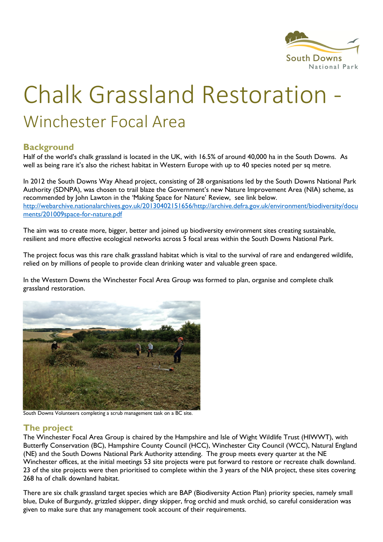

# **Chalk Grassland Restoration** Winchester Focal Area

#### **Background**

Half of the world's chalk grassland is located in the UK, with 16.5% of around 40,000 ha in the South Downs. As well as being rare it's also the richest habitat in Western Europe with up to 40 species noted per sq metre.

In 2012 the South Downs Way Ahead project, consisting of 28 organisations led by the South Downs National Park Authority (SDNPA), was chosen to trail blaze the Government's new Nature Improvement Area (NIA) scheme, as recommended by John Lawton in the 'Making Space for Nature' Review, see link below. http://webarchive.nationalarchives.gov.uk/20130402151656/http://archive.defra.gov.uk/environment/biodiversity/docu ments/201009space-for-nature.pdf

The aim was to create more, bigger, better and joined up biodiversity environment sites creating sustainable, resilient and more effective ecological networks across 5 focal areas within the South Downs National Park.

The project focus was this rare chalk grassland habitat which is vital to the survival of rare and endangered wildlife, relied on by millions of people to provide clean drinking water and valuable green space.

In the Western Downs the Winchester Focal Area Group was formed to plan, organise and complete chalk grassland restoration.



South Downs Volunteers completing a scrub management task on a BC site.

## The project

The Winchester Focal Area Group is chaired by the Hampshire and Isle of Wight Wildlife Trust (HIWWT), with Butterfly Conservation (BC), Hampshire County Council (HCC), Winchester City Council (WCC), Natural England (NE) and the South Downs National Park Authority attending. The group meets every quarter at the NE Winchester offices, at the initial meetings 53 site projects were put forward to restore or recreate chalk downland. 23 of the site projects were then prioritised to complete within the 3 years of the NIA project, these sites covering 268 ha of chalk downland habitat.

There are six chalk grassland target species which are BAP (Biodiversity Action Plan) priority species, namely small blue, Duke of Burgundy, grizzled skipper, dingy skipper, frog orchid and musk orchid, so careful consideration was given to make sure that any management took account of their requirements.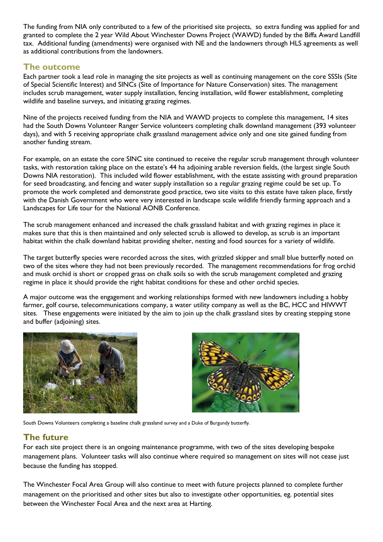The funding from NIA only contributed to a few of the prioritised site projects, so extra funding was applied for and granted to complete the 2 year Wild About Winchester Downs Project (WAWD) funded by the Biffa Award Landfill tax. Additional funding (amendments) were organised with NE and the landowners through HLS agreements as well as additional contributions from the landowners.

#### The outcome

Each partner took a lead role in managing the site projects as well as continuing management on the core SSSIs (Site of Special Scientific Interest) and SINCs (Site of Importance for Nature Conservation) sites. The management includes scrub management, water supply installation, fencing installation, wild flower establishment, completing wildlife and baseline surveys, and initiating grazing regimes.

Nine of the projects received funding from the NIA and WAWD projects to complete this management, 14 sites had the South Downs Volunteer Ranger Service volunteers completing chalk downland management (393 volunteer days), and with 5 receiving appropriate chalk grassland management advice only and one site gained funding from another funding stream.

For example, on an estate the core SINC site continued to receive the regular scrub management through volunteer tasks, with restoration taking place on the estate's 44 ha adjoining arable reversion fields, (the largest single South Downs NIA restoration). This included wild flower establishment, with the estate assisting with ground preparation for seed broadcasting, and fencing and water supply installation so a regular grazing regime could be set up. To promote the work completed and demonstrate good practice, two site visits to this estate have taken place, firstly with the Danish Government who were very interested in landscape scale wildlife friendly farming approach and a Landscapes for Life tour for the National AONB Conference.

The scrub management enhanced and increased the chalk grassland habitat and with grazing regimes in place it makes sure that this is then maintained and only selected scrub is allowed to develop, as scrub is an important habitat within the chalk downland habitat providing shelter, nesting and food sources for a variety of wildlife.

The target butterfly species were recorded across the sites, with grizzled skipper and small blue butterfly noted on two of the sites where they had not been previously recorded. The management recommendations for frog orchid and musk orchid is short or cropped grass on chalk soils so with the scrub management completed and grazing regime in place it should provide the right habitat conditions for these and other orchid species.

A major outcome was the engagement and working relationships formed with new landowners including a hobby farmer, golf course, telecommunications company, a water utility company as well as the BC, HCC and HIWWT sites. These engagements were initiated by the aim to join up the chalk grassland sites by creating stepping stone and buffer (adjoining) sites.





South Downs Volunteers completing a baseline chalk grassland survey and a Duke of Burgundy butterfly.

## The future

For each site project there is an ongoing maintenance programme, with two of the sites developing bespoke management plans. Volunteer tasks will also continue where required so management on sites will not cease just because the funding has stopped.

The Winchester Focal Area Group will also continue to meet with future projects planned to complete further management on the prioritised and other sites but also to investigate other opportunities, eg. potential sites between the Winchester Focal Area and the next area at Harting.